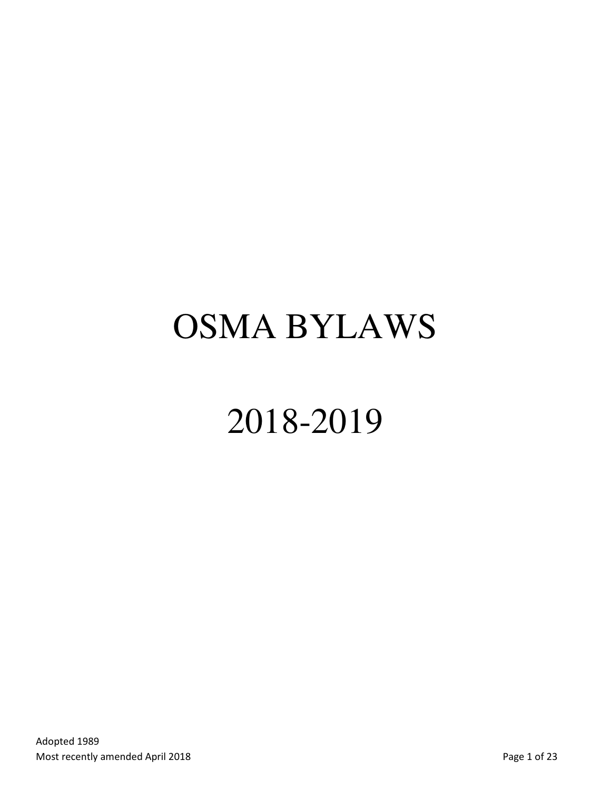# OSMA BYLAWS

# 2018-2019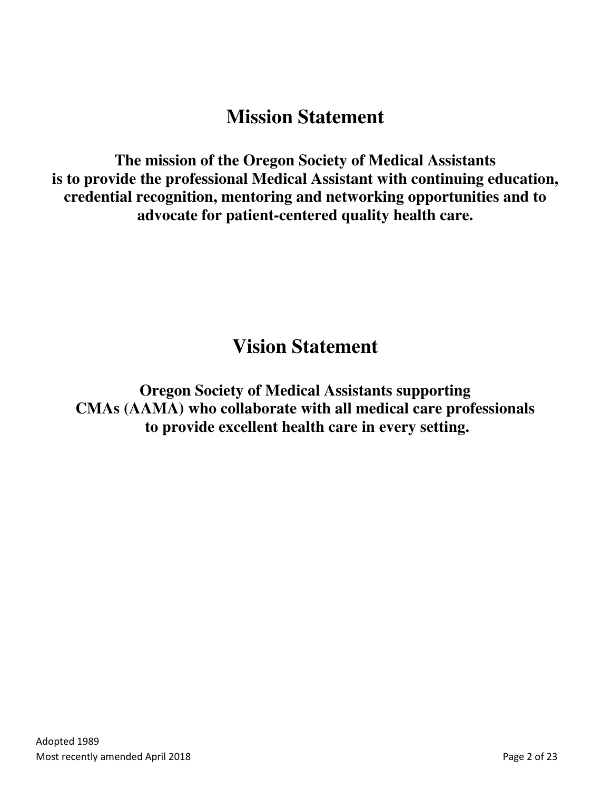# **Mission Statement**

**The mission of the Oregon Society of Medical Assistants is to provide the professional Medical Assistant with continuing education, credential recognition, mentoring and networking opportunities and to advocate for patient-centered quality health care.** 

# **Vision Statement**

**Oregon Society of Medical Assistants supporting CMAs (AAMA) who collaborate with all medical care professionals to provide excellent health care in every setting.**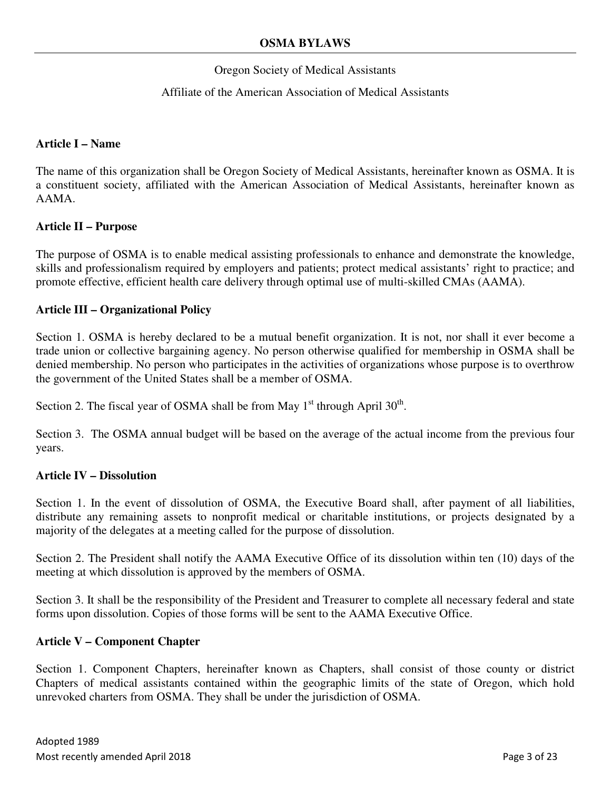#### Oregon Society of Medical Assistants

#### Affiliate of the American Association of Medical Assistants

#### **Article I – Name**

The name of this organization shall be Oregon Society of Medical Assistants, hereinafter known as OSMA. It is a constituent society, affiliated with the American Association of Medical Assistants, hereinafter known as AAMA.

#### **Article II – Purpose**

The purpose of OSMA is to enable medical assisting professionals to enhance and demonstrate the knowledge, skills and professionalism required by employers and patients; protect medical assistants' right to practice; and promote effective, efficient health care delivery through optimal use of multi-skilled CMAs (AAMA).

#### **Article III – Organizational Policy**

Section 1. OSMA is hereby declared to be a mutual benefit organization. It is not, nor shall it ever become a trade union or collective bargaining agency. No person otherwise qualified for membership in OSMA shall be denied membership. No person who participates in the activities of organizations whose purpose is to overthrow the government of the United States shall be a member of OSMA.

Section 2. The fiscal year of OSMA shall be from May  $1<sup>st</sup>$  through April  $30<sup>th</sup>$ .

Section 3. The OSMA annual budget will be based on the average of the actual income from the previous four years.

#### **Article IV – Dissolution**

Section 1. In the event of dissolution of OSMA, the Executive Board shall, after payment of all liabilities, distribute any remaining assets to nonprofit medical or charitable institutions, or projects designated by a majority of the delegates at a meeting called for the purpose of dissolution.

Section 2. The President shall notify the AAMA Executive Office of its dissolution within ten (10) days of the meeting at which dissolution is approved by the members of OSMA.

Section 3. It shall be the responsibility of the President and Treasurer to complete all necessary federal and state forms upon dissolution. Copies of those forms will be sent to the AAMA Executive Office.

#### **Article V – Component Chapter**

Section 1. Component Chapters, hereinafter known as Chapters, shall consist of those county or district Chapters of medical assistants contained within the geographic limits of the state of Oregon, which hold unrevoked charters from OSMA. They shall be under the jurisdiction of OSMA.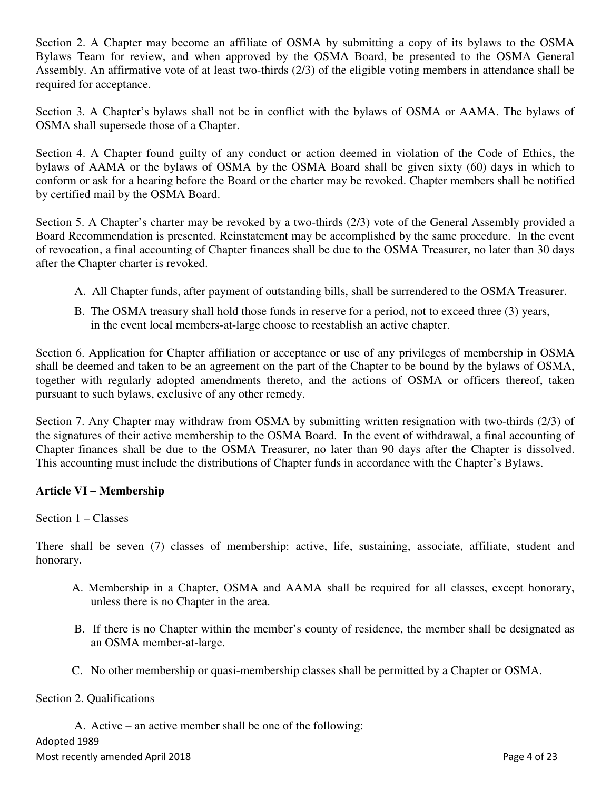Section 2. A Chapter may become an affiliate of OSMA by submitting a copy of its bylaws to the OSMA Bylaws Team for review, and when approved by the OSMA Board, be presented to the OSMA General Assembly. An affirmative vote of at least two-thirds (2/3) of the eligible voting members in attendance shall be required for acceptance.

Section 3. A Chapter's bylaws shall not be in conflict with the bylaws of OSMA or AAMA. The bylaws of OSMA shall supersede those of a Chapter.

Section 4. A Chapter found guilty of any conduct or action deemed in violation of the Code of Ethics, the bylaws of AAMA or the bylaws of OSMA by the OSMA Board shall be given sixty (60) days in which to conform or ask for a hearing before the Board or the charter may be revoked. Chapter members shall be notified by certified mail by the OSMA Board.

Section 5. A Chapter's charter may be revoked by a two-thirds (2/3) vote of the General Assembly provided a Board Recommendation is presented. Reinstatement may be accomplished by the same procedure. In the event of revocation, a final accounting of Chapter finances shall be due to the OSMA Treasurer, no later than 30 days after the Chapter charter is revoked.

- A. All Chapter funds, after payment of outstanding bills, shall be surrendered to the OSMA Treasurer.
- B. The OSMA treasury shall hold those funds in reserve for a period, not to exceed three (3) years, in the event local members-at-large choose to reestablish an active chapter.

Section 6. Application for Chapter affiliation or acceptance or use of any privileges of membership in OSMA shall be deemed and taken to be an agreement on the part of the Chapter to be bound by the bylaws of OSMA, together with regularly adopted amendments thereto, and the actions of OSMA or officers thereof, taken pursuant to such bylaws, exclusive of any other remedy.

Section 7. Any Chapter may withdraw from OSMA by submitting written resignation with two-thirds (2/3) of the signatures of their active membership to the OSMA Board. In the event of withdrawal, a final accounting of Chapter finances shall be due to the OSMA Treasurer, no later than 90 days after the Chapter is dissolved. This accounting must include the distributions of Chapter funds in accordance with the Chapter's Bylaws.

# **Article VI – Membership**

#### Section 1 – Classes

There shall be seven (7) classes of membership: active, life, sustaining, associate, affiliate, student and honorary.

- A. Membership in a Chapter, OSMA and AAMA shall be required for all classes, except honorary, unless there is no Chapter in the area.
- B. If there is no Chapter within the member's county of residence, the member shall be designated as an OSMA member-at-large.
- C. No other membership or quasi-membership classes shall be permitted by a Chapter or OSMA.

#### Section 2. Qualifications

A. Active – an active member shall be one of the following:

Adopted 1989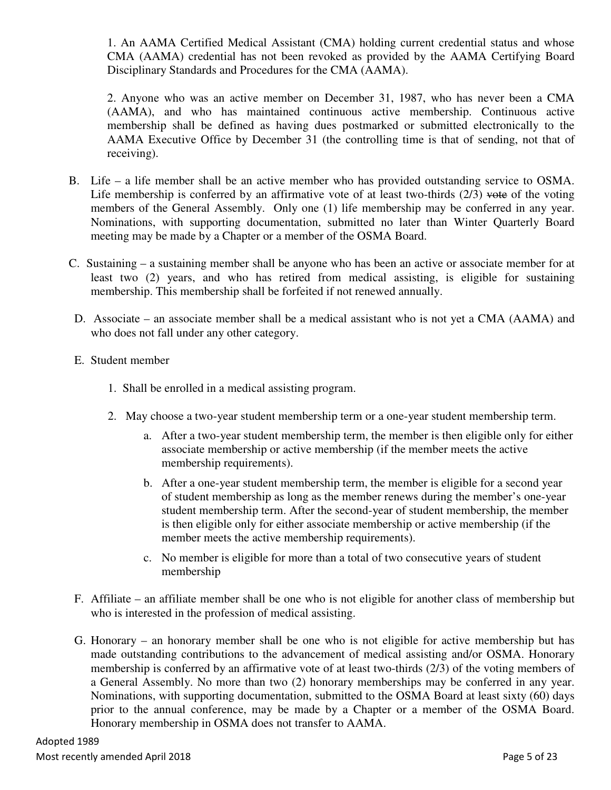1. An AAMA Certified Medical Assistant (CMA) holding current credential status and whose CMA (AAMA) credential has not been revoked as provided by the AAMA Certifying Board Disciplinary Standards and Procedures for the CMA (AAMA).

2. Anyone who was an active member on December 31, 1987, who has never been a CMA (AAMA), and who has maintained continuous active membership. Continuous active membership shall be defined as having dues postmarked or submitted electronically to the AAMA Executive Office by December 31 (the controlling time is that of sending, not that of receiving).

- B. Life a life member shall be an active member who has provided outstanding service to OSMA. Life membership is conferred by an affirmative vote of at least two-thirds  $(2/3)$  vote of the voting members of the General Assembly. Only one (1) life membership may be conferred in any year. Nominations, with supporting documentation, submitted no later than Winter Quarterly Board meeting may be made by a Chapter or a member of the OSMA Board.
- C. Sustaining a sustaining member shall be anyone who has been an active or associate member for at least two (2) years, and who has retired from medical assisting, is eligible for sustaining membership. This membership shall be forfeited if not renewed annually.
- D. Associate an associate member shall be a medical assistant who is not yet a CMA (AAMA) and who does not fall under any other category.
- E. Student member
	- 1. Shall be enrolled in a medical assisting program.
	- 2. May choose a two-year student membership term or a one-year student membership term.
		- a. After a two-year student membership term, the member is then eligible only for either associate membership or active membership (if the member meets the active membership requirements).
		- b. After a one-year student membership term, the member is eligible for a second year of student membership as long as the member renews during the member's one-year student membership term. After the second-year of student membership, the member is then eligible only for either associate membership or active membership (if the member meets the active membership requirements).
		- c. No member is eligible for more than a total of two consecutive years of student membership
- F. Affiliate an affiliate member shall be one who is not eligible for another class of membership but who is interested in the profession of medical assisting.
- G. Honorary an honorary member shall be one who is not eligible for active membership but has made outstanding contributions to the advancement of medical assisting and/or OSMA. Honorary membership is conferred by an affirmative vote of at least two-thirds (2/3) of the voting members of a General Assembly. No more than two (2) honorary memberships may be conferred in any year. Nominations, with supporting documentation, submitted to the OSMA Board at least sixty (60) days prior to the annual conference, may be made by a Chapter or a member of the OSMA Board. Honorary membership in OSMA does not transfer to AAMA.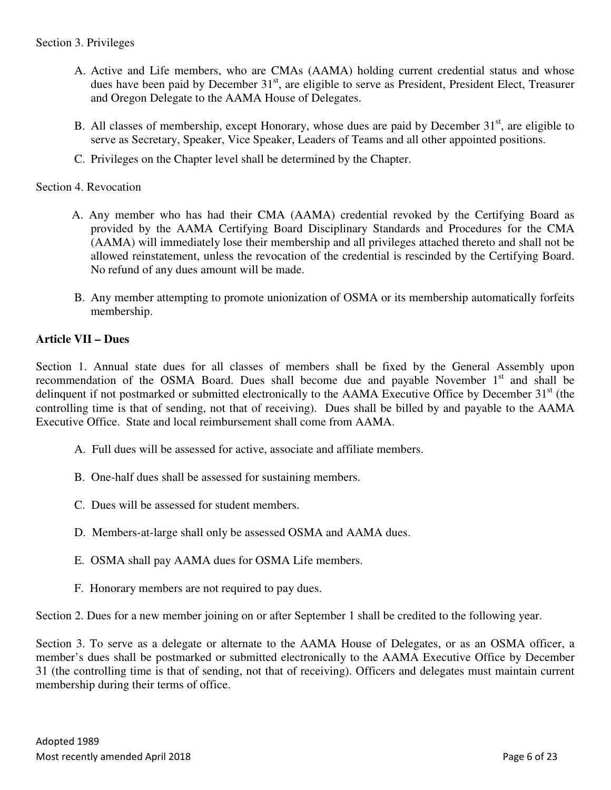- A. Active and Life members, who are CMAs (AAMA) holding current credential status and whose dues have been paid by December 31<sup>st</sup>, are eligible to serve as President, President Elect, Treasurer and Oregon Delegate to the AAMA House of Delegates.
- B. All classes of membership, except Honorary, whose dues are paid by December  $31<sup>st</sup>$ , are eligible to serve as Secretary, Speaker, Vice Speaker, Leaders of Teams and all other appointed positions.
- C. Privileges on the Chapter level shall be determined by the Chapter.

#### Section 4. Revocation

- A. Any member who has had their CMA (AAMA) credential revoked by the Certifying Board as provided by the AAMA Certifying Board Disciplinary Standards and Procedures for the CMA (AAMA) will immediately lose their membership and all privileges attached thereto and shall not be allowed reinstatement, unless the revocation of the credential is rescinded by the Certifying Board. No refund of any dues amount will be made.
- B. Any member attempting to promote unionization of OSMA or its membership automatically forfeits membership.

### **Article VII – Dues**

Section 1. Annual state dues for all classes of members shall be fixed by the General Assembly upon recommendation of the OSMA Board. Dues shall become due and payable November  $1<sup>st</sup>$  and shall be delinquent if not postmarked or submitted electronically to the AAMA Executive Office by December 31<sup>st</sup> (the controlling time is that of sending, not that of receiving). Dues shall be billed by and payable to the AAMA Executive Office. State and local reimbursement shall come from AAMA.

- A. Full dues will be assessed for active, associate and affiliate members.
- B. One-half dues shall be assessed for sustaining members.
- C. Dues will be assessed for student members.
- D. Members-at-large shall only be assessed OSMA and AAMA dues.
- E. OSMA shall pay AAMA dues for OSMA Life members.
- F. Honorary members are not required to pay dues.

Section 2. Dues for a new member joining on or after September 1 shall be credited to the following year.

Section 3. To serve as a delegate or alternate to the AAMA House of Delegates, or as an OSMA officer, a member's dues shall be postmarked or submitted electronically to the AAMA Executive Office by December 31 (the controlling time is that of sending, not that of receiving). Officers and delegates must maintain current membership during their terms of office.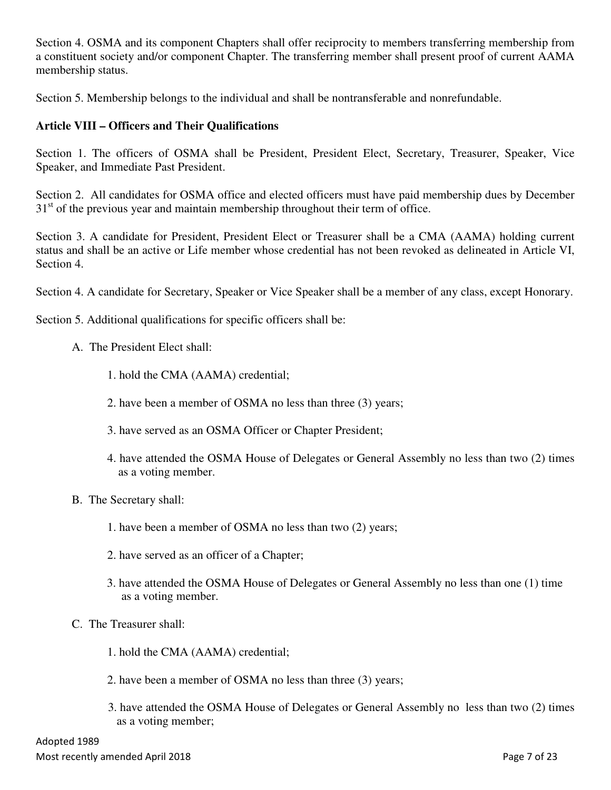Section 4. OSMA and its component Chapters shall offer reciprocity to members transferring membership from a constituent society and/or component Chapter. The transferring member shall present proof of current AAMA membership status.

Section 5. Membership belongs to the individual and shall be nontransferable and nonrefundable.

#### **Article VIII – Officers and Their Qualifications**

Section 1. The officers of OSMA shall be President, President Elect, Secretary, Treasurer, Speaker, Vice Speaker, and Immediate Past President.

Section 2. All candidates for OSMA office and elected officers must have paid membership dues by December  $31<sup>st</sup>$  of the previous year and maintain membership throughout their term of office.

Section 3. A candidate for President, President Elect or Treasurer shall be a CMA (AAMA) holding current status and shall be an active or Life member whose credential has not been revoked as delineated in Article VI, Section 4.

Section 4. A candidate for Secretary, Speaker or Vice Speaker shall be a member of any class, except Honorary.

Section 5. Additional qualifications for specific officers shall be:

- A. The President Elect shall:
	- 1. hold the CMA (AAMA) credential;
	- 2. have been a member of OSMA no less than three (3) years;
	- 3. have served as an OSMA Officer or Chapter President;
	- 4. have attended the OSMA House of Delegates or General Assembly no less than two (2) times as a voting member.
- B. The Secretary shall:
	- 1. have been a member of OSMA no less than two (2) years;
	- 2. have served as an officer of a Chapter;
	- 3. have attended the OSMA House of Delegates or General Assembly no less than one (1) time as a voting member.
- C. The Treasurer shall:
	- 1. hold the CMA (AAMA) credential;
	- 2. have been a member of OSMA no less than three (3) years;
	- 3. have attended the OSMA House of Delegates or General Assembly no less than two (2) times as a voting member;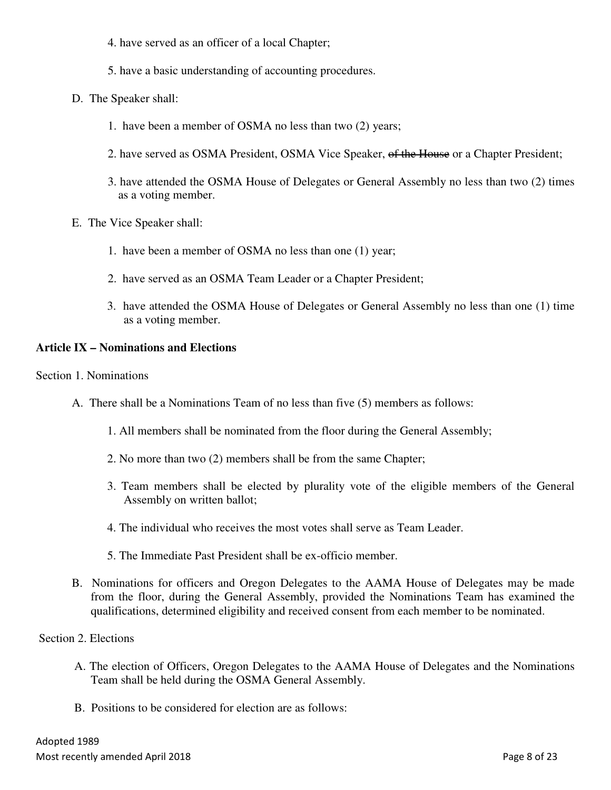- 4. have served as an officer of a local Chapter;
- 5. have a basic understanding of accounting procedures.
- D. The Speaker shall:
	- 1. have been a member of OSMA no less than two (2) years;
	- 2. have served as OSMA President, OSMA Vice Speaker, of the House or a Chapter President;
	- 3. have attended the OSMA House of Delegates or General Assembly no less than two (2) times as a voting member.
- E. The Vice Speaker shall:
	- 1. have been a member of OSMA no less than one (1) year;
	- 2. have served as an OSMA Team Leader or a Chapter President;
	- 3. have attended the OSMA House of Delegates or General Assembly no less than one (1) time as a voting member.

#### **Article IX – Nominations and Elections**

Section 1. Nominations

- A. There shall be a Nominations Team of no less than five (5) members as follows:
	- 1. All members shall be nominated from the floor during the General Assembly;
	- 2. No more than two (2) members shall be from the same Chapter;
	- 3. Team members shall be elected by plurality vote of the eligible members of the General Assembly on written ballot;
	- 4. The individual who receives the most votes shall serve as Team Leader.
	- 5. The Immediate Past President shall be ex-officio member.
- B. Nominations for officers and Oregon Delegates to the AAMA House of Delegates may be made from the floor, during the General Assembly, provided the Nominations Team has examined the qualifications, determined eligibility and received consent from each member to be nominated.

#### Section 2. Elections

- A. The election of Officers, Oregon Delegates to the AAMA House of Delegates and the Nominations Team shall be held during the OSMA General Assembly.
- B. Positions to be considered for election are as follows: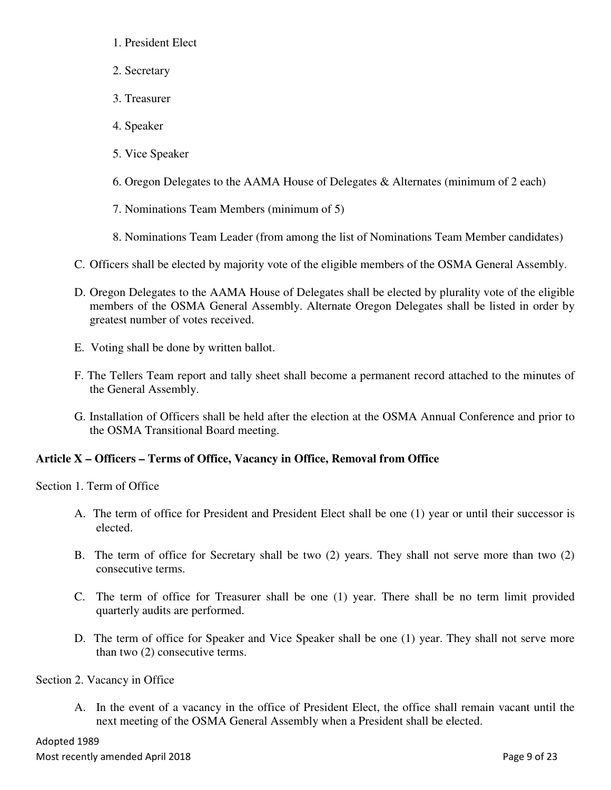- 1. President Elect
- 2. Secretary
- 3. Treasurer
- 4. Speaker
- 5. Vice Speaker
- 6. Oregon Delegates to the AAMA House of Delegates & Alternates (minimum of 2 each)
- 7. Nominations Team Members (minimum of 5)
- 8. Nominations Team Leader (from among the list of Nominations Team Member candidates)
- C. Officers shall be elected by majority vote of the eligible members of the OSMA General Assembly.
- D. Oregon Delegates to the AAMA House of Delegates shall be elected by plurality vote of the eligible members of the OSMA General Assembly. Alternate Oregon Delegates shall be listed in order by greatest number of votes received.
- E. Voting shall be done by written ballot.
- F. The Tellers Team report and tally sheet shall become a permanent record attached to the minutes of the General Assembly.
- G. Installation of Officers shall be held after the election at the OSMA Annual Conference and prior to the OSMA Transitional Board meeting.

# **Article X – Officers – Terms of Office, Vacancy in Office, Removal from Office**

Section 1. Term of Office

- A. The term of office for President and President Elect shall be one (1) year or until their successor is elected.
- B. The term of office for Secretary shall be two (2) years. They shall not serve more than two (2) consecutive terms.
- C. The term of office for Treasurer shall be one (1) year. There shall be no term limit provided quarterly audits are performed.
- D. The term of office for Speaker and Vice Speaker shall be one (1) year. They shall not serve more than two (2) consecutive terms.

Section 2. Vacancy in Office

A. In the event of a vacancy in the office of President Elect, the office shall remain vacant until the next meeting of the OSMA General Assembly when a President shall be elected.

Adopted 1989 Most recently amended April 2018 **Page 9 of 23**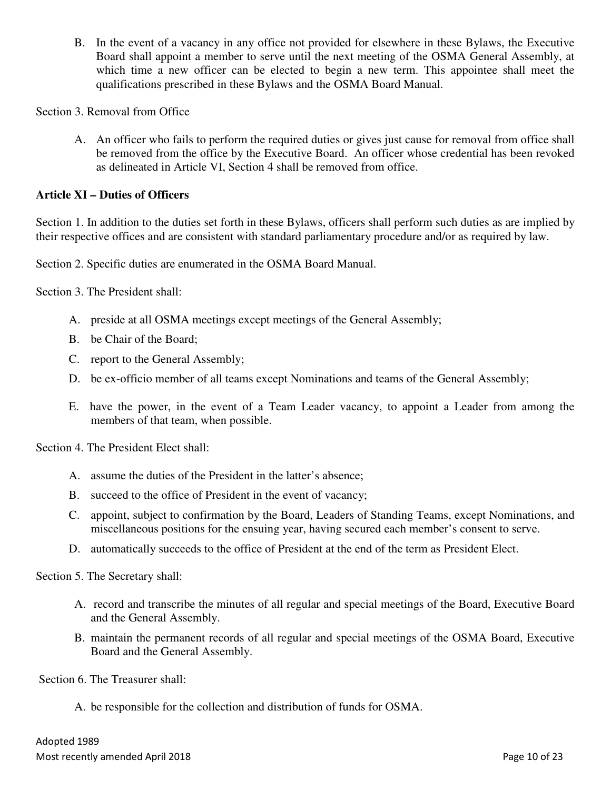B. In the event of a vacancy in any office not provided for elsewhere in these Bylaws, the Executive Board shall appoint a member to serve until the next meeting of the OSMA General Assembly, at which time a new officer can be elected to begin a new term. This appointee shall meet the qualifications prescribed in these Bylaws and the OSMA Board Manual.

Section 3. Removal from Office

A. An officer who fails to perform the required duties or gives just cause for removal from office shall be removed from the office by the Executive Board. An officer whose credential has been revoked as delineated in Article VI, Section 4 shall be removed from office.

#### **Article XI – Duties of Officers**

Section 1. In addition to the duties set forth in these Bylaws, officers shall perform such duties as are implied by their respective offices and are consistent with standard parliamentary procedure and/or as required by law.

Section 2. Specific duties are enumerated in the OSMA Board Manual.

Section 3. The President shall:

- A. preside at all OSMA meetings except meetings of the General Assembly;
- B. be Chair of the Board;
- C. report to the General Assembly;
- D. be ex-officio member of all teams except Nominations and teams of the General Assembly;
- E. have the power, in the event of a Team Leader vacancy, to appoint a Leader from among the members of that team, when possible.

Section 4. The President Elect shall:

- A. assume the duties of the President in the latter's absence;
- B. succeed to the office of President in the event of vacancy;
- C. appoint, subject to confirmation by the Board, Leaders of Standing Teams, except Nominations, and miscellaneous positions for the ensuing year, having secured each member's consent to serve.
- D. automatically succeeds to the office of President at the end of the term as President Elect.

Section 5. The Secretary shall:

- A. record and transcribe the minutes of all regular and special meetings of the Board, Executive Board and the General Assembly.
- B. maintain the permanent records of all regular and special meetings of the OSMA Board, Executive Board and the General Assembly.

Section 6. The Treasurer shall:

A. be responsible for the collection and distribution of funds for OSMA.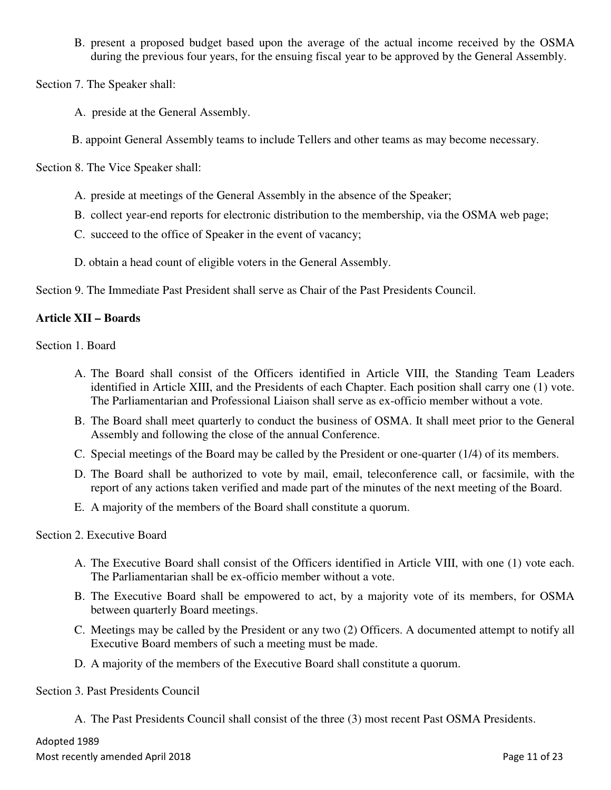B. present a proposed budget based upon the average of the actual income received by the OSMA during the previous four years, for the ensuing fiscal year to be approved by the General Assembly.

Section 7. The Speaker shall:

- A. preside at the General Assembly.
- B. appoint General Assembly teams to include Tellers and other teams as may become necessary.

Section 8. The Vice Speaker shall:

- A. preside at meetings of the General Assembly in the absence of the Speaker;
- B. collect year-end reports for electronic distribution to the membership, via the OSMA web page;
- C. succeed to the office of Speaker in the event of vacancy;
- D. obtain a head count of eligible voters in the General Assembly.

Section 9. The Immediate Past President shall serve as Chair of the Past Presidents Council.

#### **Article XII – Boards**

Section 1. Board

- A. The Board shall consist of the Officers identified in Article VIII, the Standing Team Leaders identified in Article XIII, and the Presidents of each Chapter. Each position shall carry one (1) vote. The Parliamentarian and Professional Liaison shall serve as ex-officio member without a vote.
- B. The Board shall meet quarterly to conduct the business of OSMA. It shall meet prior to the General Assembly and following the close of the annual Conference.
- C. Special meetings of the Board may be called by the President or one-quarter (1/4) of its members.
- D. The Board shall be authorized to vote by mail, email, teleconference call, or facsimile, with the report of any actions taken verified and made part of the minutes of the next meeting of the Board.
- E. A majority of the members of the Board shall constitute a quorum.

#### Section 2. Executive Board

- A. The Executive Board shall consist of the Officers identified in Article VIII, with one (1) vote each. The Parliamentarian shall be ex-officio member without a vote.
- B. The Executive Board shall be empowered to act, by a majority vote of its members, for OSMA between quarterly Board meetings.
- C. Meetings may be called by the President or any two (2) Officers. A documented attempt to notify all Executive Board members of such a meeting must be made.
- D. A majority of the members of the Executive Board shall constitute a quorum.

Section 3. Past Presidents Council

A. The Past Presidents Council shall consist of the three (3) most recent Past OSMA Presidents.

#### Adopted 1989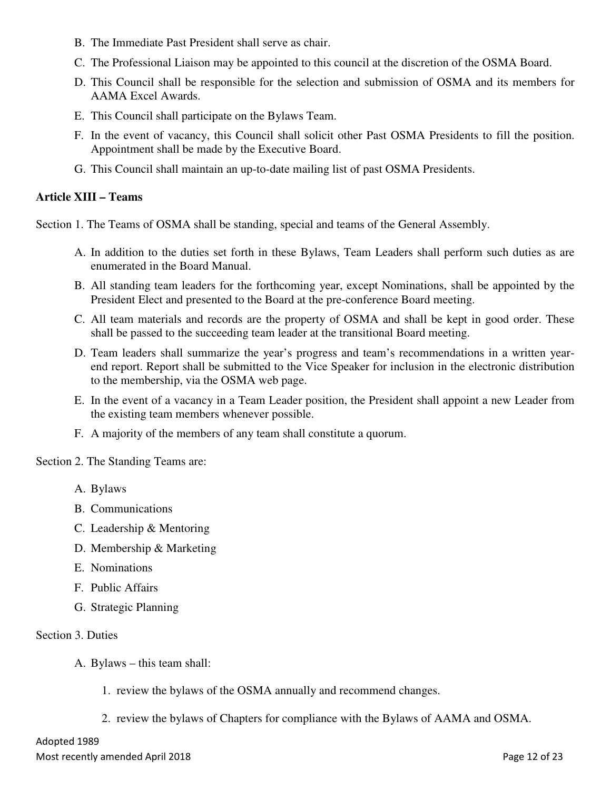- B. The Immediate Past President shall serve as chair.
- C. The Professional Liaison may be appointed to this council at the discretion of the OSMA Board.
- D. This Council shall be responsible for the selection and submission of OSMA and its members for AAMA Excel Awards.
- E. This Council shall participate on the Bylaws Team.
- F. In the event of vacancy, this Council shall solicit other Past OSMA Presidents to fill the position. Appointment shall be made by the Executive Board.
- G. This Council shall maintain an up-to-date mailing list of past OSMA Presidents.

#### **Article XIII – Teams**

Section 1. The Teams of OSMA shall be standing, special and teams of the General Assembly.

- A. In addition to the duties set forth in these Bylaws, Team Leaders shall perform such duties as are enumerated in the Board Manual.
- B. All standing team leaders for the forthcoming year, except Nominations, shall be appointed by the President Elect and presented to the Board at the pre-conference Board meeting.
- C. All team materials and records are the property of OSMA and shall be kept in good order. These shall be passed to the succeeding team leader at the transitional Board meeting.
- D. Team leaders shall summarize the year's progress and team's recommendations in a written yearend report. Report shall be submitted to the Vice Speaker for inclusion in the electronic distribution to the membership, via the OSMA web page.
- E. In the event of a vacancy in a Team Leader position, the President shall appoint a new Leader from the existing team members whenever possible.
- F. A majority of the members of any team shall constitute a quorum.

Section 2. The Standing Teams are:

- A. Bylaws
- B. Communications
- C. Leadership & Mentoring
- D. Membership & Marketing
- E. Nominations
- F. Public Affairs
- G. Strategic Planning

#### Section 3. Duties

- A. Bylaws this team shall:
	- 1. review the bylaws of the OSMA annually and recommend changes.
	- 2. review the bylaws of Chapters for compliance with the Bylaws of AAMA and OSMA.

#### Adopted 1989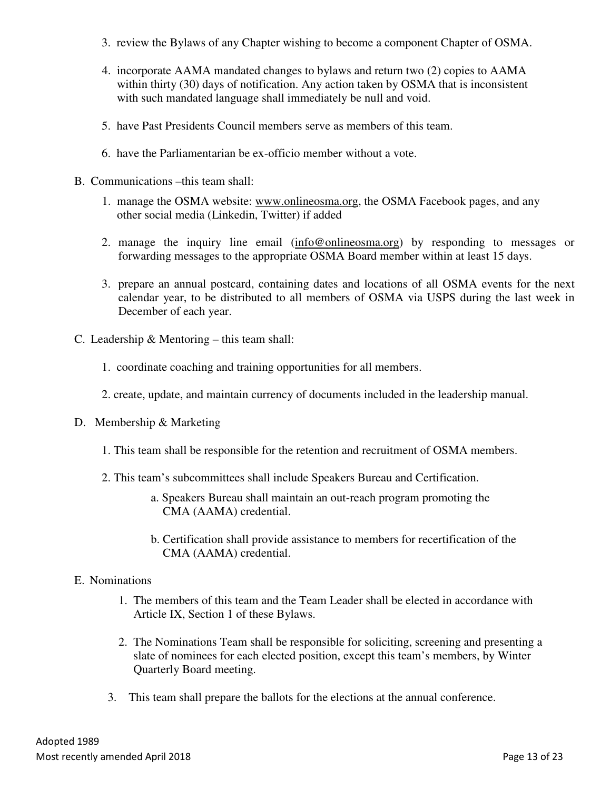- 3. review the Bylaws of any Chapter wishing to become a component Chapter of OSMA.
- 4. incorporate AAMA mandated changes to bylaws and return two (2) copies to AAMA within thirty (30) days of notification. Any action taken by OSMA that is inconsistent with such mandated language shall immediately be null and void.
- 5. have Past Presidents Council members serve as members of this team.
- 6. have the Parliamentarian be ex-officio member without a vote.
- B. Communications –this team shall:
	- 1. manage the OSMA website: www.onlineosma.org, the OSMA Facebook pages, and any other social media (Linkedin, Twitter) if added
	- 2. manage the inquiry line email (info@onlineosma.org) by responding to messages or forwarding messages to the appropriate OSMA Board member within at least 15 days.
	- 3. prepare an annual postcard, containing dates and locations of all OSMA events for the next calendar year, to be distributed to all members of OSMA via USPS during the last week in December of each year.
- C. Leadership & Mentoring this team shall:
	- 1. coordinate coaching and training opportunities for all members.
	- 2. create, update, and maintain currency of documents included in the leadership manual.
- D. Membership & Marketing
	- 1. This team shall be responsible for the retention and recruitment of OSMA members.
	- 2. This team's subcommittees shall include Speakers Bureau and Certification.
		- a. Speakers Bureau shall maintain an out-reach program promoting the CMA (AAMA) credential.
		- b. Certification shall provide assistance to members for recertification of the CMA (AAMA) credential.
- E. Nominations
	- 1. The members of this team and the Team Leader shall be elected in accordance with Article IX, Section 1 of these Bylaws.
	- 2. The Nominations Team shall be responsible for soliciting, screening and presenting a slate of nominees for each elected position, except this team's members, by Winter Quarterly Board meeting.
	- 3. This team shall prepare the ballots for the elections at the annual conference.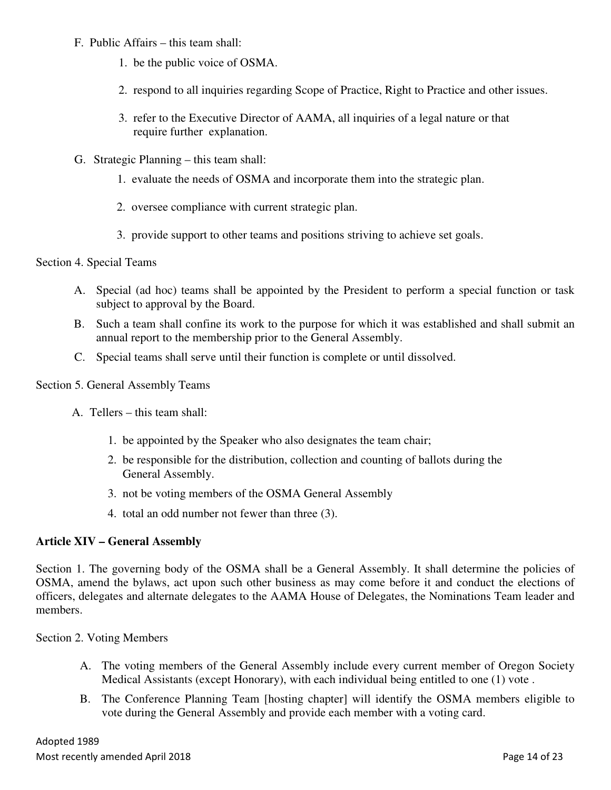- F. Public Affairs this team shall:
	- 1. be the public voice of OSMA.
	- 2. respond to all inquiries regarding Scope of Practice, Right to Practice and other issues.
	- 3. refer to the Executive Director of AAMA, all inquiries of a legal nature or that require further explanation.
- G. Strategic Planning this team shall:
	- 1. evaluate the needs of OSMA and incorporate them into the strategic plan.
	- 2. oversee compliance with current strategic plan.
	- 3. provide support to other teams and positions striving to achieve set goals.

#### Section 4. Special Teams

- A. Special (ad hoc) teams shall be appointed by the President to perform a special function or task subject to approval by the Board.
- B. Such a team shall confine its work to the purpose for which it was established and shall submit an annual report to the membership prior to the General Assembly.
- C. Special teams shall serve until their function is complete or until dissolved.

#### Section 5. General Assembly Teams

- A. Tellers this team shall:
	- 1. be appointed by the Speaker who also designates the team chair;
	- 2. be responsible for the distribution, collection and counting of ballots during the General Assembly.
	- 3. not be voting members of the OSMA General Assembly
	- 4. total an odd number not fewer than three (3).

#### **Article XIV – General Assembly**

Section 1. The governing body of the OSMA shall be a General Assembly. It shall determine the policies of OSMA, amend the bylaws, act upon such other business as may come before it and conduct the elections of officers, delegates and alternate delegates to the AAMA House of Delegates, the Nominations Team leader and members.

#### Section 2. Voting Members

- A. The voting members of the General Assembly include every current member of Oregon Society Medical Assistants (except Honorary), with each individual being entitled to one (1) vote .
- B. The Conference Planning Team [hosting chapter] will identify the OSMA members eligible to vote during the General Assembly and provide each member with a voting card.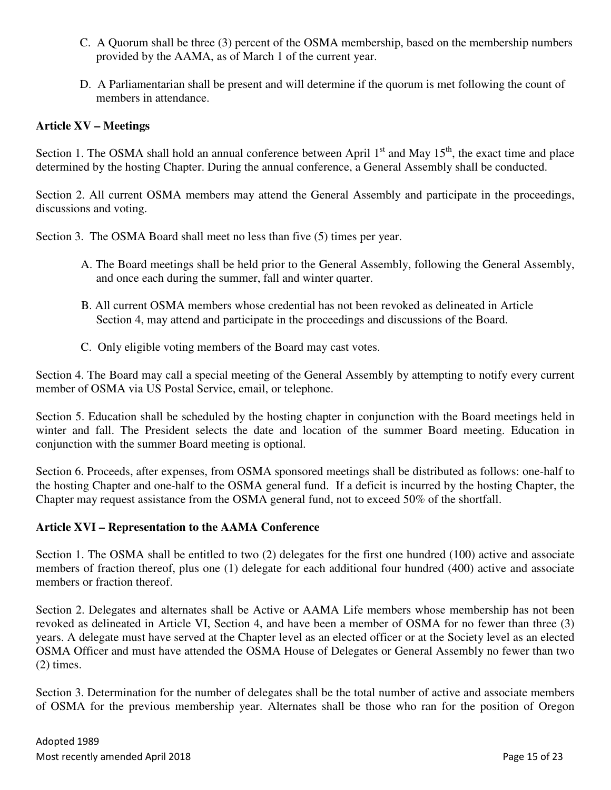- C. A Quorum shall be three (3) percent of the OSMA membership, based on the membership numbers provided by the AAMA, as of March 1 of the current year.
- D. A Parliamentarian shall be present and will determine if the quorum is met following the count of members in attendance.

#### **Article XV – Meetings**

Section 1. The OSMA shall hold an annual conference between April  $1<sup>st</sup>$  and May  $15<sup>th</sup>$ , the exact time and place determined by the hosting Chapter. During the annual conference, a General Assembly shall be conducted.

Section 2. All current OSMA members may attend the General Assembly and participate in the proceedings, discussions and voting.

Section 3. The OSMA Board shall meet no less than five (5) times per year.

- A. The Board meetings shall be held prior to the General Assembly, following the General Assembly, and once each during the summer, fall and winter quarter.
- B. All current OSMA members whose credential has not been revoked as delineated in Article Section 4, may attend and participate in the proceedings and discussions of the Board.
- C. Only eligible voting members of the Board may cast votes.

Section 4. The Board may call a special meeting of the General Assembly by attempting to notify every current member of OSMA via US Postal Service, email, or telephone.

Section 5. Education shall be scheduled by the hosting chapter in conjunction with the Board meetings held in winter and fall. The President selects the date and location of the summer Board meeting. Education in conjunction with the summer Board meeting is optional.

Section 6. Proceeds, after expenses, from OSMA sponsored meetings shall be distributed as follows: one-half to the hosting Chapter and one-half to the OSMA general fund. If a deficit is incurred by the hosting Chapter, the Chapter may request assistance from the OSMA general fund, not to exceed 50% of the shortfall.

#### **Article XVI – Representation to the AAMA Conference**

Section 1. The OSMA shall be entitled to two (2) delegates for the first one hundred (100) active and associate members of fraction thereof, plus one (1) delegate for each additional four hundred (400) active and associate members or fraction thereof.

Section 2. Delegates and alternates shall be Active or AAMA Life members whose membership has not been revoked as delineated in Article VI, Section 4, and have been a member of OSMA for no fewer than three (3) years. A delegate must have served at the Chapter level as an elected officer or at the Society level as an elected OSMA Officer and must have attended the OSMA House of Delegates or General Assembly no fewer than two (2) times.

Section 3. Determination for the number of delegates shall be the total number of active and associate members of OSMA for the previous membership year. Alternates shall be those who ran for the position of Oregon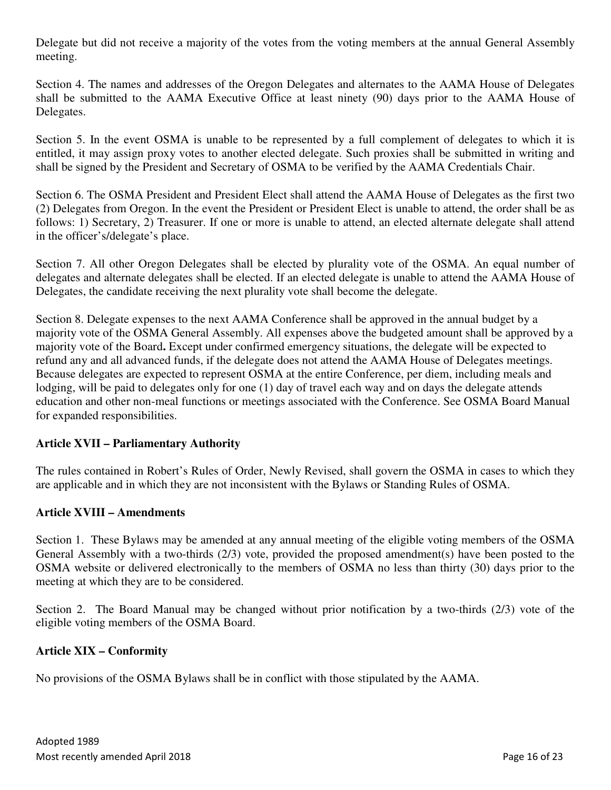Delegate but did not receive a majority of the votes from the voting members at the annual General Assembly meeting.

Section 4. The names and addresses of the Oregon Delegates and alternates to the AAMA House of Delegates shall be submitted to the AAMA Executive Office at least ninety (90) days prior to the AAMA House of Delegates.

Section 5. In the event OSMA is unable to be represented by a full complement of delegates to which it is entitled, it may assign proxy votes to another elected delegate. Such proxies shall be submitted in writing and shall be signed by the President and Secretary of OSMA to be verified by the AAMA Credentials Chair.

Section 6. The OSMA President and President Elect shall attend the AAMA House of Delegates as the first two (2) Delegates from Oregon. In the event the President or President Elect is unable to attend, the order shall be as follows: 1) Secretary, 2) Treasurer. If one or more is unable to attend, an elected alternate delegate shall attend in the officer's/delegate's place.

Section 7. All other Oregon Delegates shall be elected by plurality vote of the OSMA. An equal number of delegates and alternate delegates shall be elected. If an elected delegate is unable to attend the AAMA House of Delegates, the candidate receiving the next plurality vote shall become the delegate.

Section 8. Delegate expenses to the next AAMA Conference shall be approved in the annual budget by a majority vote of the OSMA General Assembly. All expenses above the budgeted amount shall be approved by a majority vote of the Board**.** Except under confirmed emergency situations, the delegate will be expected to refund any and all advanced funds, if the delegate does not attend the AAMA House of Delegates meetings. Because delegates are expected to represent OSMA at the entire Conference, per diem, including meals and lodging, will be paid to delegates only for one (1) day of travel each way and on days the delegate attends education and other non-meal functions or meetings associated with the Conference. See OSMA Board Manual for expanded responsibilities.

#### **Article XVII – Parliamentary Authority**

The rules contained in Robert's Rules of Order, Newly Revised, shall govern the OSMA in cases to which they are applicable and in which they are not inconsistent with the Bylaws or Standing Rules of OSMA.

#### **Article XVIII – Amendments**

Section 1. These Bylaws may be amended at any annual meeting of the eligible voting members of the OSMA General Assembly with a two-thirds (2/3) vote, provided the proposed amendment(s) have been posted to the OSMA website or delivered electronically to the members of OSMA no less than thirty (30) days prior to the meeting at which they are to be considered.

Section 2. The Board Manual may be changed without prior notification by a two-thirds (2/3) vote of the eligible voting members of the OSMA Board.

#### **Article XIX – Conformity**

No provisions of the OSMA Bylaws shall be in conflict with those stipulated by the AAMA.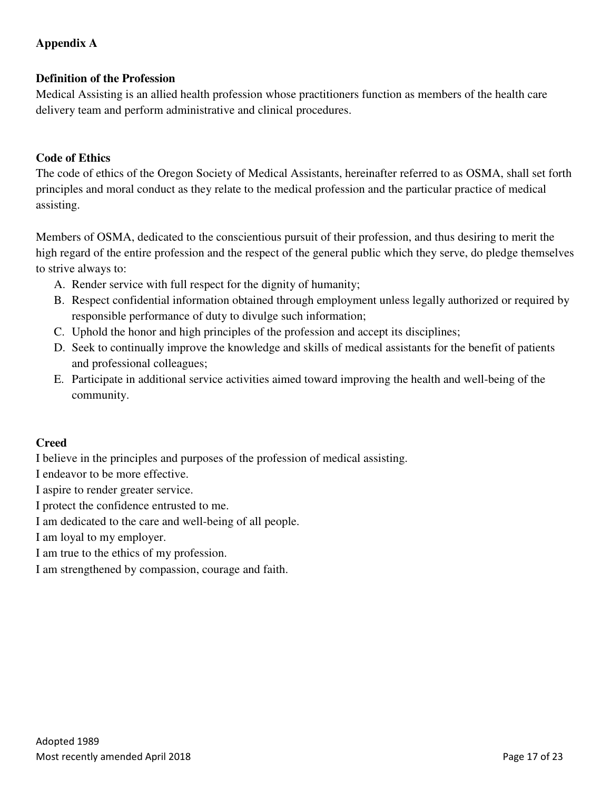# **Appendix A**

## **Definition of the Profession**

Medical Assisting is an allied health profession whose practitioners function as members of the health care delivery team and perform administrative and clinical procedures.

## **Code of Ethics**

The code of ethics of the Oregon Society of Medical Assistants, hereinafter referred to as OSMA, shall set forth principles and moral conduct as they relate to the medical profession and the particular practice of medical assisting.

Members of OSMA, dedicated to the conscientious pursuit of their profession, and thus desiring to merit the high regard of the entire profession and the respect of the general public which they serve, do pledge themselves to strive always to:

- A. Render service with full respect for the dignity of humanity;
- B. Respect confidential information obtained through employment unless legally authorized or required by responsible performance of duty to divulge such information;
- C. Uphold the honor and high principles of the profession and accept its disciplines;
- D. Seek to continually improve the knowledge and skills of medical assistants for the benefit of patients and professional colleagues;
- E. Participate in additional service activities aimed toward improving the health and well-being of the community.

#### **Creed**

I believe in the principles and purposes of the profession of medical assisting.

I endeavor to be more effective.

I aspire to render greater service.

I protect the confidence entrusted to me.

I am dedicated to the care and well-being of all people.

I am loyal to my employer.

I am true to the ethics of my profession.

I am strengthened by compassion, courage and faith.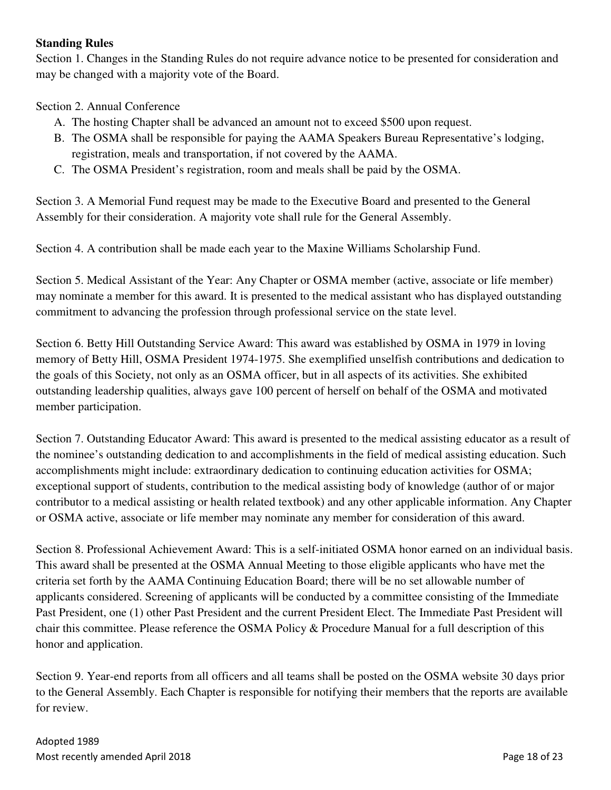#### **Standing Rules**

Section 1. Changes in the Standing Rules do not require advance notice to be presented for consideration and may be changed with a majority vote of the Board.

Section 2. Annual Conference

- A. The hosting Chapter shall be advanced an amount not to exceed \$500 upon request.
- B. The OSMA shall be responsible for paying the AAMA Speakers Bureau Representative's lodging, registration, meals and transportation, if not covered by the AAMA.
- C. The OSMA President's registration, room and meals shall be paid by the OSMA.

Section 3. A Memorial Fund request may be made to the Executive Board and presented to the General Assembly for their consideration. A majority vote shall rule for the General Assembly.

Section 4. A contribution shall be made each year to the Maxine Williams Scholarship Fund.

Section 5. Medical Assistant of the Year: Any Chapter or OSMA member (active, associate or life member) may nominate a member for this award. It is presented to the medical assistant who has displayed outstanding commitment to advancing the profession through professional service on the state level.

Section 6. Betty Hill Outstanding Service Award: This award was established by OSMA in 1979 in loving memory of Betty Hill, OSMA President 1974-1975. She exemplified unselfish contributions and dedication to the goals of this Society, not only as an OSMA officer, but in all aspects of its activities. She exhibited outstanding leadership qualities, always gave 100 percent of herself on behalf of the OSMA and motivated member participation.

Section 7. Outstanding Educator Award: This award is presented to the medical assisting educator as a result of the nominee's outstanding dedication to and accomplishments in the field of medical assisting education. Such accomplishments might include: extraordinary dedication to continuing education activities for OSMA; exceptional support of students, contribution to the medical assisting body of knowledge (author of or major contributor to a medical assisting or health related textbook) and any other applicable information. Any Chapter or OSMA active, associate or life member may nominate any member for consideration of this award.

Section 8. Professional Achievement Award: This is a self-initiated OSMA honor earned on an individual basis. This award shall be presented at the OSMA Annual Meeting to those eligible applicants who have met the criteria set forth by the AAMA Continuing Education Board; there will be no set allowable number of applicants considered. Screening of applicants will be conducted by a committee consisting of the Immediate Past President, one (1) other Past President and the current President Elect. The Immediate Past President will chair this committee. Please reference the OSMA Policy & Procedure Manual for a full description of this honor and application.

Section 9. Year-end reports from all officers and all teams shall be posted on the OSMA website 30 days prior to the General Assembly. Each Chapter is responsible for notifying their members that the reports are available for review.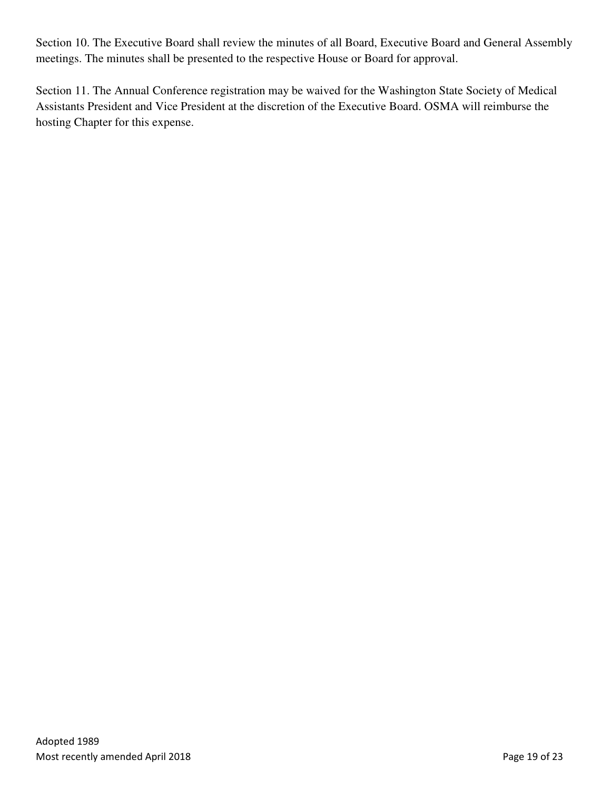Section 10. The Executive Board shall review the minutes of all Board, Executive Board and General Assembly meetings. The minutes shall be presented to the respective House or Board for approval.

Section 11. The Annual Conference registration may be waived for the Washington State Society of Medical Assistants President and Vice President at the discretion of the Executive Board. OSMA will reimburse the hosting Chapter for this expense.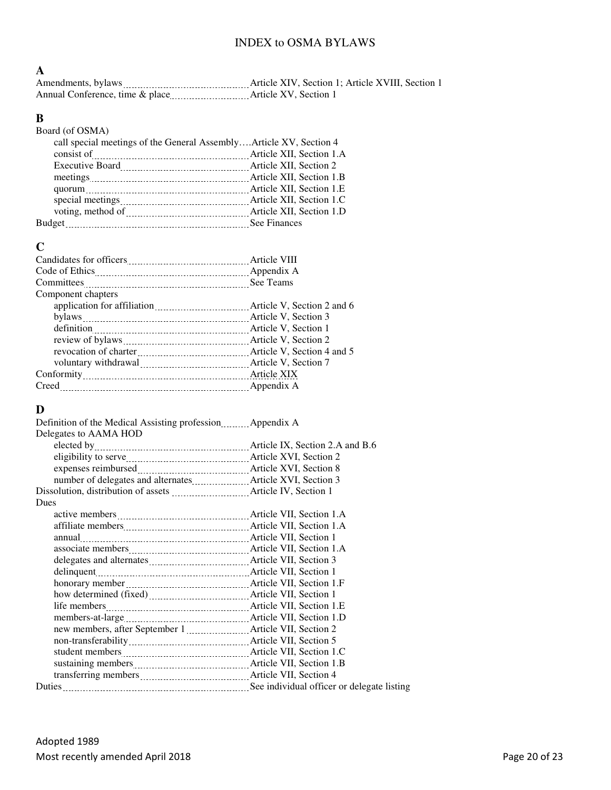## INDEX to OSMA BYLAWS

#### **A**

| Amendments, bylaws                  | Article XIV. Section 1: Article XVIII. Section 1 |
|-------------------------------------|--------------------------------------------------|
| Annual Conference, time & place<br> | Article XV, Section 1                            |

# **B**

| Board (of OSMA)                                                                                                                     |                          |
|-------------------------------------------------------------------------------------------------------------------------------------|--------------------------|
| call special meetings of the General AssemblyArticle XV, Section 4                                                                  |                          |
| consist of                                                                                                                          | Article XII, Section 1.A |
| Executive Board <b>Executive</b> Board <b>Executive</b> Board <b>Executive</b> Board <b>Executive</b> Board <b>EXII</b> , Section 2 |                          |
|                                                                                                                                     |                          |
|                                                                                                                                     |                          |
| special meetings [100] Article XII, Section 1.C                                                                                     |                          |
|                                                                                                                                     |                          |
| <b>Budget</b>                                                                                                                       |                          |
|                                                                                                                                     |                          |

### **C**

| Component chapters                                                    |             |
|-----------------------------------------------------------------------|-------------|
| application for affiliation <b>matures</b> Article V, Section 2 and 6 |             |
|                                                                       |             |
|                                                                       |             |
|                                                                       |             |
|                                                                       |             |
|                                                                       |             |
|                                                                       | Article XIX |
| Creed                                                                 |             |

# **D**

| Definition of the Medical Assisting profession <b>Example 2.1</b> Appendix A       |  |
|------------------------------------------------------------------------------------|--|
| Delegates to AAMA HOD                                                              |  |
|                                                                                    |  |
|                                                                                    |  |
|                                                                                    |  |
|                                                                                    |  |
| Dissolution, distribution of assets <b>Manual</b> Article IV, Section 1            |  |
| <b>Dues</b>                                                                        |  |
|                                                                                    |  |
|                                                                                    |  |
|                                                                                    |  |
|                                                                                    |  |
| delegates and alternates <i>manufacture and alternates Article VII</i> , Section 3 |  |
|                                                                                    |  |
|                                                                                    |  |
|                                                                                    |  |
|                                                                                    |  |
|                                                                                    |  |
|                                                                                    |  |
|                                                                                    |  |
|                                                                                    |  |
|                                                                                    |  |
|                                                                                    |  |
|                                                                                    |  |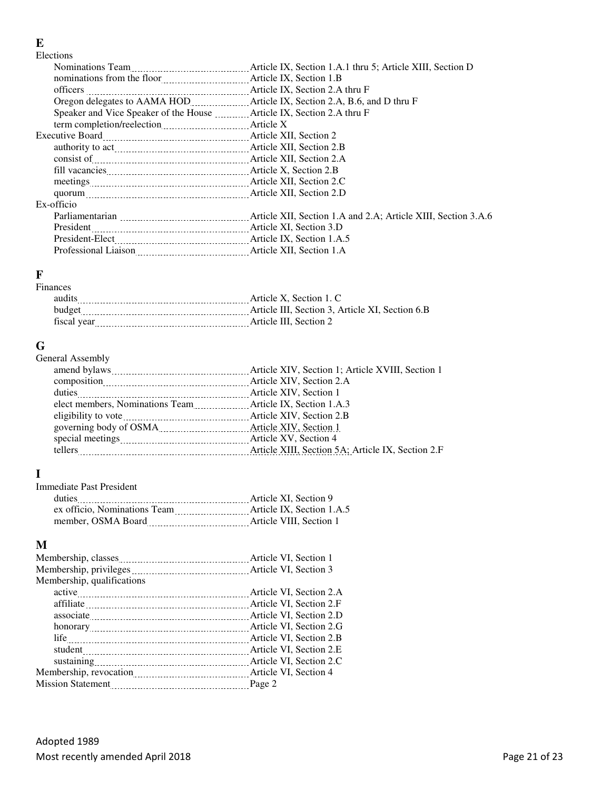#### **E**

Elections

| Speaker and Vice Speaker of the House Matricle IX, Section 2.A thru F                                                                                                                                                               |  |
|-------------------------------------------------------------------------------------------------------------------------------------------------------------------------------------------------------------------------------------|--|
|                                                                                                                                                                                                                                     |  |
|                                                                                                                                                                                                                                     |  |
| authority to act material contracts and Article XII, Section 2.B                                                                                                                                                                    |  |
| consist of <u>manual consistered</u> and the State State State State State State State State State State State State State State State State State State State State State State State State State State State State State State St |  |
|                                                                                                                                                                                                                                     |  |
|                                                                                                                                                                                                                                     |  |
|                                                                                                                                                                                                                                     |  |
| Ex-officio                                                                                                                                                                                                                          |  |
|                                                                                                                                                                                                                                     |  |
| President                                                                                                                                                                                                                           |  |
|                                                                                                                                                                                                                                     |  |
| Professional Liaison [11] Article XII, Section 1.A.                                                                                                                                                                                 |  |
|                                                                                                                                                                                                                                     |  |

#### **F**  Fin

| Finances    |                                                 |
|-------------|-------------------------------------------------|
| audits      | Article X. Section 1. C                         |
| budget      | Article III. Section 3. Article XI. Section 6.B |
| fiscal vear | Article III. Section 2                          |
|             |                                                 |

# **G**

| General Assembly                                                            |                                                   |
|-----------------------------------------------------------------------------|---------------------------------------------------|
|                                                                             | Article XIV, Section 1; Article XVIII, Section 1  |
|                                                                             |                                                   |
|                                                                             | Article XIV, Section 1                            |
| elect members, Nominations Team _________________ Article IX, Section 1.A.3 |                                                   |
|                                                                             |                                                   |
| governing body of OSMA                                                      | Article XIV, Section 1                            |
|                                                                             |                                                   |
| tellers                                                                     | Article XIII, Section 5A; Article IX, Section 2.F |
|                                                                             |                                                   |

# **I**

| Immediate Past President     |                           |
|------------------------------|---------------------------|
| duties                       | Article XI. Section 9     |
| ex officio, Nominations Team | Article IX. Section 1.A.5 |
| member, OSMA Board           | Article VIII. Section 1   |

# **M**

| Membership, qualifications |  |
|----------------------------|--|
|                            |  |
|                            |  |
|                            |  |
|                            |  |
|                            |  |
|                            |  |
|                            |  |
|                            |  |
|                            |  |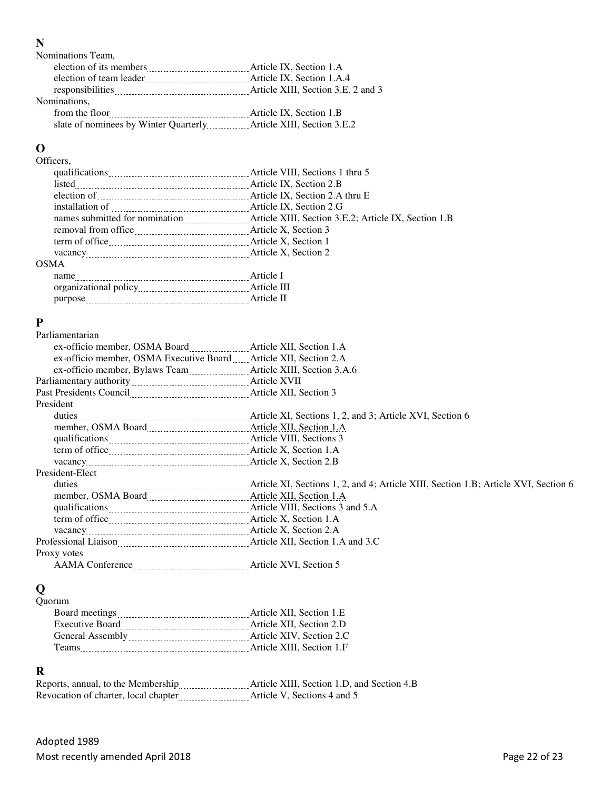### **N**

| Nominations Team,       |                           |
|-------------------------|---------------------------|
|                         | Article IX, Section 1.A   |
| election of team leader | Article IX, Section 1.A.4 |
|                         |                           |
| Nominations,            |                           |
| from the floor          | Article IX, Section 1.B   |
|                         |                           |

# **O**

| Officers.                                                                                                                                                                                                  |                                 |
|------------------------------------------------------------------------------------------------------------------------------------------------------------------------------------------------------------|---------------------------------|
|                                                                                                                                                                                                            | Article VIII, Sections 1 thru 5 |
| $listed$ [[1] $$ [[1] $$ [[1] $$ [[1] $$ [[1] $$ [[1] $$ [[1] $$ [[1] $$ [[1] $$ [[1] $$ [[1] $$ [[1] $$ [[1] $$ [[1] $$ [[1] $$ [[1] $$ [[1] $$ [[1] $$ [[1] $$ [[1] $$ [[1] $$ [[1] $$ [[1] $$ [[1] $$ [ | Article IX, Section 2.B         |
|                                                                                                                                                                                                            |                                 |
|                                                                                                                                                                                                            |                                 |
|                                                                                                                                                                                                            |                                 |
|                                                                                                                                                                                                            |                                 |
|                                                                                                                                                                                                            |                                 |
|                                                                                                                                                                                                            |                                 |
| <b>OSMA</b>                                                                                                                                                                                                |                                 |
| name                                                                                                                                                                                                       |                                 |
|                                                                                                                                                                                                            |                                 |
|                                                                                                                                                                                                            | Article II                      |

# **P**

| Parliamentarian                                                             |  |
|-----------------------------------------------------------------------------|--|
| ex-officio member, OSMA Board ____________________ Article XII, Section 1.A |  |
| ex-officio member, OSMA Executive Board _____ Article XII, Section 2.A      |  |
| ex-officio member, Bylaws Team ________________ Article XIII, Section 3.A.6 |  |
|                                                                             |  |
| Past Presidents Council [100] Article XII, Section 3                        |  |
| President                                                                   |  |
|                                                                             |  |
| member, OSMA Board Manuel Article XII, Section 1.A                          |  |
|                                                                             |  |
|                                                                             |  |
|                                                                             |  |
| President-Elect                                                             |  |
|                                                                             |  |
|                                                                             |  |
|                                                                             |  |
|                                                                             |  |
|                                                                             |  |
| Professional Liaison Maticular Article XII, Section 1.A and 3.C             |  |
| Proxy votes                                                                 |  |
|                                                                             |  |

# **Q**

| Ouorum                                                                                                                                                                                                                              |                           |
|-------------------------------------------------------------------------------------------------------------------------------------------------------------------------------------------------------------------------------------|---------------------------|
|                                                                                                                                                                                                                                     | Article XII, Section 1.E  |
| <b>Executive Board</b>                                                                                                                                                                                                              | Article XII. Section 2.D  |
| General Assembly <u>manual contracts</u> and the set of the set of the set of the set of the set of the set of the set of the set of the set of the set of the set of the set of the set of the set of the set of the set of the se | Article XIV. Section 2.C  |
| <b>Teams</b>                                                                                                                                                                                                                        | Article XIII. Section 1.F |
|                                                                                                                                                                                                                                     |                           |

#### **R**

| Reports, annual, to the Membership electron of the Membership | Article XIII, Section 1.D, and Section 4.B |
|---------------------------------------------------------------|--------------------------------------------|
| Revocation of charter, local chapter                          | Article V, Sections 4 and 5                |